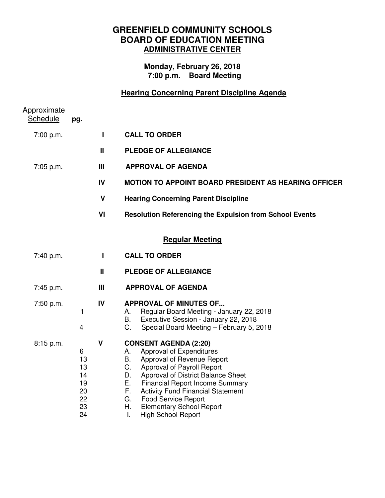# **GREENFIELD COMMUNITY SCHOOLS BOARD OF EDUCATION MEETING ADMINISTRATIVE CENTER**

### **Monday, February 26, 2018 7:00 p.m. Board Meeting**

# **Hearing Concerning Parent Discipline Agenda**

| Approximate<br><b>Schedule</b> | pg.                                               |                |                                                                                                                                                                                                                                                                                                                                                                                                      |
|--------------------------------|---------------------------------------------------|----------------|------------------------------------------------------------------------------------------------------------------------------------------------------------------------------------------------------------------------------------------------------------------------------------------------------------------------------------------------------------------------------------------------------|
| 7:00 p.m.                      |                                                   | П              | <b>CALL TO ORDER</b>                                                                                                                                                                                                                                                                                                                                                                                 |
|                                |                                                   | $\mathbf{I}$   | <b>PLEDGE OF ALLEGIANCE</b>                                                                                                                                                                                                                                                                                                                                                                          |
| 7:05 p.m.                      |                                                   | $\mathbf{III}$ | <b>APPROVAL OF AGENDA</b>                                                                                                                                                                                                                                                                                                                                                                            |
|                                |                                                   | IV             | <b>MOTION TO APPOINT BOARD PRESIDENT AS HEARING OFFICER</b>                                                                                                                                                                                                                                                                                                                                          |
|                                |                                                   | $\mathsf{V}$   | <b>Hearing Concerning Parent Discipline</b>                                                                                                                                                                                                                                                                                                                                                          |
|                                |                                                   | VI             | <b>Resolution Referencing the Expulsion from School Events</b>                                                                                                                                                                                                                                                                                                                                       |
|                                |                                                   |                | <b>Regular Meeting</b>                                                                                                                                                                                                                                                                                                                                                                               |
| 7:40 p.m.                      |                                                   | L              | <b>CALL TO ORDER</b>                                                                                                                                                                                                                                                                                                                                                                                 |
|                                |                                                   | Ш              | <b>PLEDGE OF ALLEGIANCE</b>                                                                                                                                                                                                                                                                                                                                                                          |
| 7:45 p.m.                      |                                                   | Ш              | <b>APPROVAL OF AGENDA</b>                                                                                                                                                                                                                                                                                                                                                                            |
| 7:50 p.m.                      | 1<br>4                                            | IV             | <b>APPROVAL OF MINUTES OF</b><br>Regular Board Meeting - January 22, 2018<br>А.<br><b>B.</b><br>Executive Session - January 22, 2018<br>C.<br>Special Board Meeting - February 5, 2018                                                                                                                                                                                                               |
| 8:15 p.m.                      | 6<br>13<br>13<br>14<br>19<br>20<br>22<br>23<br>24 | $\mathsf{V}$   | <b>CONSENT AGENDA (2:20)</b><br>Approval of Expenditures<br>А.<br>Approval of Revenue Report<br>В.<br>C.<br>Approval of Payroll Report<br>D.<br>Approval of District Balance Sheet<br>Е.<br><b>Financial Report Income Summary</b><br>F.<br><b>Activity Fund Financial Statement</b><br>G.<br><b>Food Service Report</b><br>Η.<br><b>Elementary School Report</b><br>I.<br><b>High School Report</b> |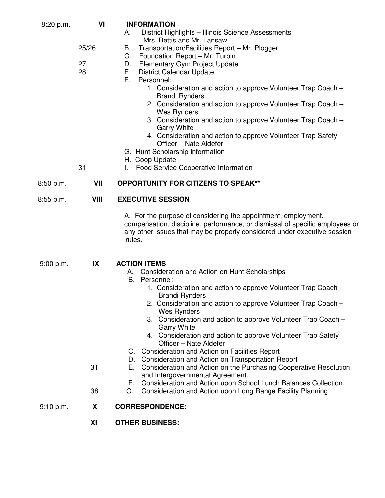| 8:20 p.m. | VI          | <b>INFORMATION</b><br>District Highlights - Illinois Science Assessments<br>А.                                                                                                                                                                                                                                                                                                                                                                                            |
|-----------|-------------|---------------------------------------------------------------------------------------------------------------------------------------------------------------------------------------------------------------------------------------------------------------------------------------------------------------------------------------------------------------------------------------------------------------------------------------------------------------------------|
|           | 25/26       | Mrs. Bettis and Mr. Lansaw<br>Transportation/Facilities Report - Mr. Plogger<br>В.                                                                                                                                                                                                                                                                                                                                                                                        |
|           | 27<br>28    | Foundation Report - Mr. Turpin<br>C.<br>Elementary Gym Project Update<br>D.<br><b>District Calendar Update</b><br>Е.<br>F.<br>Personnel:<br>1. Consideration and action to approve Volunteer Trap Coach -<br><b>Brandi Rynders</b><br>2. Consideration and action to approve Volunteer Trap Coach -<br>Wes Rynders<br>3. Consideration and action to approve Volunteer Trap Coach -<br><b>Garry White</b><br>4. Consideration and action to approve Volunteer Trap Safety |
|           |             | Officer - Nate Aldefer<br>G. Hunt Scholarship Information<br>H. Coop Update                                                                                                                                                                                                                                                                                                                                                                                               |
|           | 31          | Food Service Cooperative Information<br>L.                                                                                                                                                                                                                                                                                                                                                                                                                                |
| 8:50 p.m. | VII         | <b>OPPORTUNITY FOR CITIZENS TO SPEAK**</b>                                                                                                                                                                                                                                                                                                                                                                                                                                |
| 8:55 p.m. | <b>VIII</b> | <b>EXECUTIVE SESSION</b>                                                                                                                                                                                                                                                                                                                                                                                                                                                  |
|           |             | A. For the purpose of considering the appointment, employment,<br>compensation, discipline, performance, or dismissal of specific employees or<br>any other issues that may be properly considered under executive session<br>rules.                                                                                                                                                                                                                                      |
| 9:00 p.m. | IX          | <b>ACTION ITEMS</b><br>A. Consideration and Action on Hunt Scholarships                                                                                                                                                                                                                                                                                                                                                                                                   |
|           |             | B. Personnel:<br>1. Consideration and action to approve Volunteer Trap Coach -<br><b>Brandi Rynders</b>                                                                                                                                                                                                                                                                                                                                                                   |
|           |             | 2. Consideration and action to approve Volunteer Trap Coach -<br><b>Wes Rynders</b>                                                                                                                                                                                                                                                                                                                                                                                       |
|           |             | 3. Consideration and action to approve Volunteer Trap Coach -<br><b>Garry White</b><br>4. Consideration and action to approve Volunteer Trap Safety                                                                                                                                                                                                                                                                                                                       |
|           |             | Officer - Nate Aldefer<br>C. Consideration and Action on Facilities Report                                                                                                                                                                                                                                                                                                                                                                                                |
|           | 31          | D. Consideration and Action on Transportation Report<br>E. Consideration and Action on the Purchasing Cooperative Resolution<br>and Intergovernmental Agreement.                                                                                                                                                                                                                                                                                                          |
|           | 38          | F.<br>Consideration and Action upon School Lunch Balances Collection<br>Consideration and Action upon Long Range Facility Planning<br>G.                                                                                                                                                                                                                                                                                                                                  |
| 9:10 p.m. | X           | <b>CORRESPONDENCE:</b>                                                                                                                                                                                                                                                                                                                                                                                                                                                    |
|           | XI          | <b>OTHER BUSINESS:</b>                                                                                                                                                                                                                                                                                                                                                                                                                                                    |